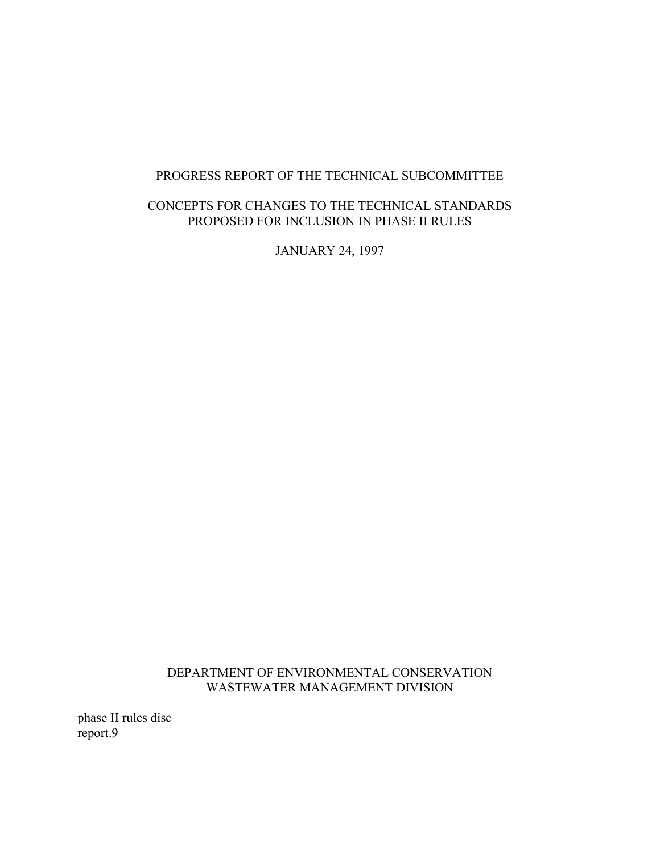## PROGRESS REPORT OF THE TECHNICAL SUBCOMMITTEE

## CONCEPTS FOR CHANGES TO THE TECHNICAL STANDARDS PROPOSED FOR INCLUSION IN PHASE II RULES

JANUARY 24, 1997

DEPARTMENT OF ENVIRONMENTAL CONSERVATION WASTEWATER MANAGEMENT DIVISION

phase II rules disc report.9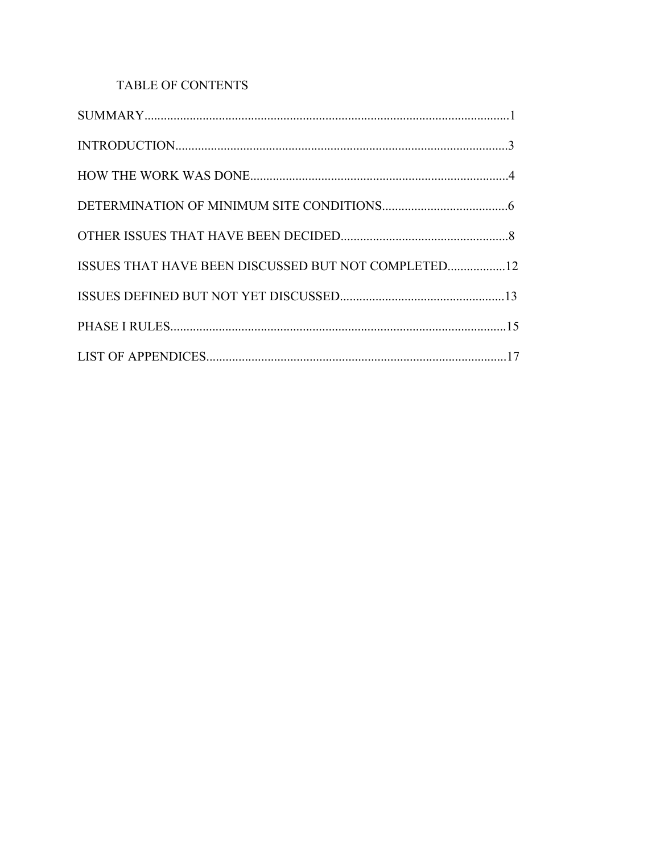# TABLE OF CONTENTS

| ISSUES THAT HAVE BEEN DISCUSSED BUT NOT COMPLETED12 |  |
|-----------------------------------------------------|--|
|                                                     |  |
|                                                     |  |
|                                                     |  |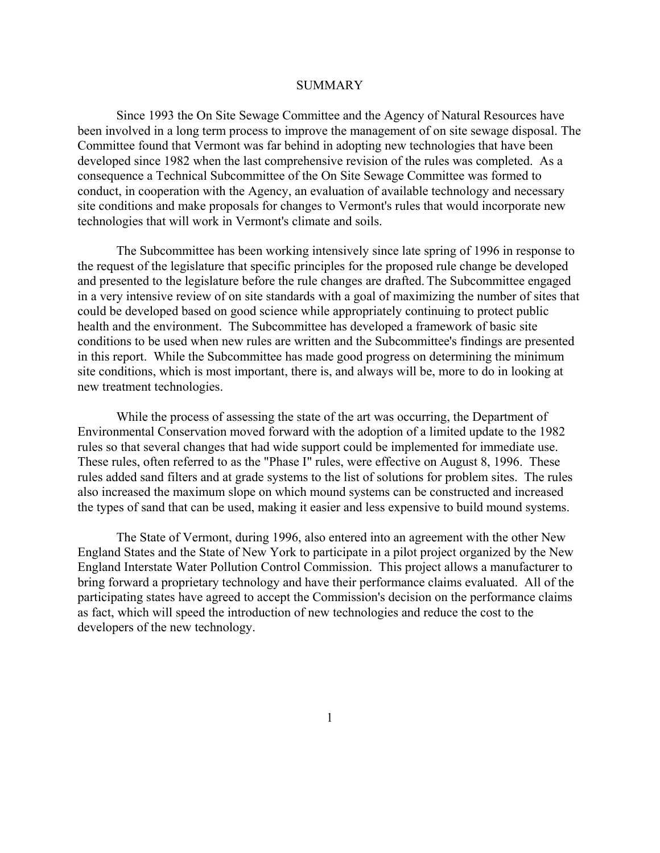#### SUMMARY

Since 1993 the On Site Sewage Committee and the Agency of Natural Resources have been involved in a long term process to improve the management of on site sewage disposal. The Committee found that Vermont was far behind in adopting new technologies that have been developed since 1982 when the last comprehensive revision of the rules was completed. As a consequence a Technical Subcommittee of the On Site Sewage Committee was formed to conduct, in cooperation with the Agency, an evaluation of available technology and necessary site conditions and make proposals for changes to Vermont's rules that would incorporate new technologies that will work in Vermont's climate and soils.

The Subcommittee has been working intensively since late spring of 1996 in response to the request of the legislature that specific principles for the proposed rule change be developed and presented to the legislature before the rule changes are drafted. The Subcommittee engaged in a very intensive review of on site standards with a goal of maximizing the number of sites that could be developed based on good science while appropriately continuing to protect public health and the environment. The Subcommittee has developed a framework of basic site conditions to be used when new rules are written and the Subcommittee's findings are presented in this report. While the Subcommittee has made good progress on determining the minimum site conditions, which is most important, there is, and always will be, more to do in looking at new treatment technologies.

While the process of assessing the state of the art was occurring, the Department of Environmental Conservation moved forward with the adoption of a limited update to the 1982 rules so that several changes that had wide support could be implemented for immediate use. These rules, often referred to as the "Phase I" rules, were effective on August 8, 1996. These rules added sand filters and at grade systems to the list of solutions for problem sites. The rules also increased the maximum slope on which mound systems can be constructed and increased the types of sand that can be used, making it easier and less expensive to build mound systems.

The State of Vermont, during 1996, also entered into an agreement with the other New England States and the State of New York to participate in a pilot project organized by the New England Interstate Water Pollution Control Commission. This project allows a manufacturer to bring forward a proprietary technology and have their performance claims evaluated. All of the participating states have agreed to accept the Commission's decision on the performance claims as fact, which will speed the introduction of new technologies and reduce the cost to the developers of the new technology.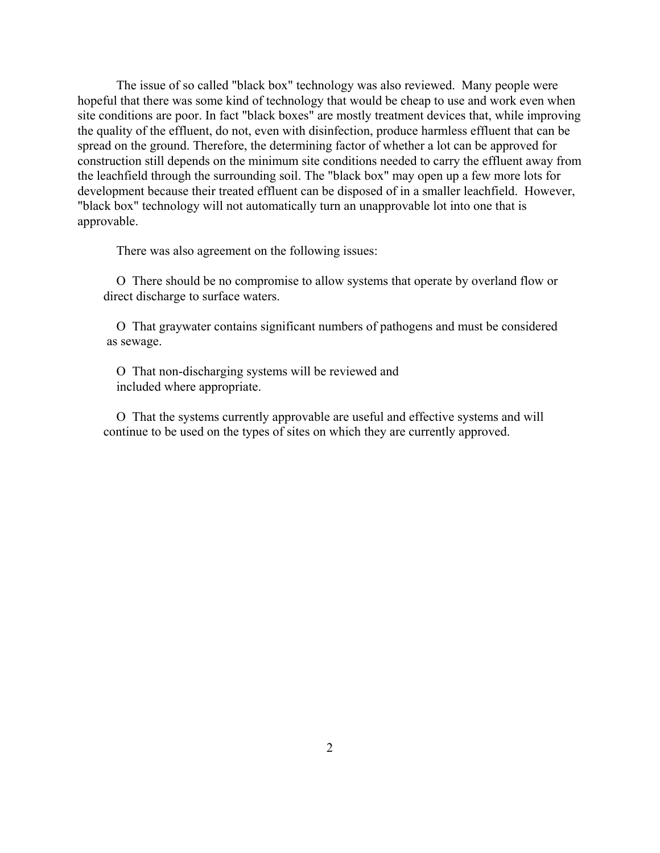The issue of so called "black box" technology was also reviewed. Many people were hopeful that there was some kind of technology that would be cheap to use and work even when site conditions are poor. In fact "black boxes" are mostly treatment devices that, while improving the quality of the effluent, do not, even with disinfection, produce harmless effluent that can be spread on the ground. Therefore, the determining factor of whether a lot can be approved for construction still depends on the minimum site conditions needed to carry the effluent away from the leachfield through the surrounding soil. The "black box" may open up a few more lots for development because their treated effluent can be disposed of in a smaller leachfield. However, "black box" technology will not automatically turn an unapprovable lot into one that is approvable.

There was also agreement on the following issues:

O There should be no compromise to allow systems that operate by overland flow or direct discharge to surface waters.

O That graywater contains significant numbers of pathogens and must be considered as sewage.

O That non-discharging systems will be reviewed and included where appropriate.

O That the systems currently approvable are useful and effective systems and will continue to be used on the types of sites on which they are currently approved.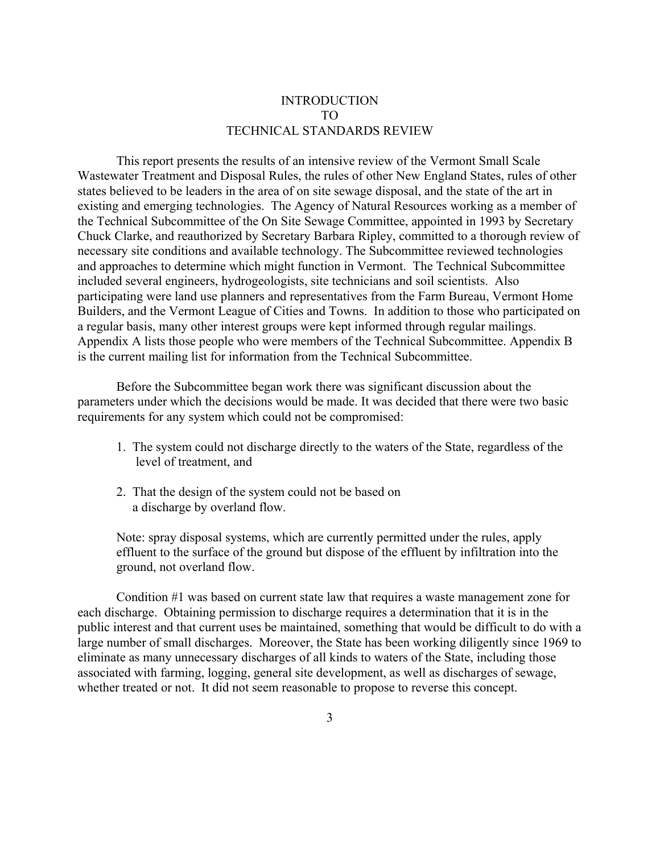## INTRODUCTION TO TECHNICAL STANDARDS REVIEW

This report presents the results of an intensive review of the Vermont Small Scale Wastewater Treatment and Disposal Rules, the rules of other New England States, rules of other states believed to be leaders in the area of on site sewage disposal, and the state of the art in existing and emerging technologies. The Agency of Natural Resources working as a member of the Technical Subcommittee of the On Site Sewage Committee, appointed in 1993 by Secretary Chuck Clarke, and reauthorized by Secretary Barbara Ripley, committed to a thorough review of necessary site conditions and available technology. The Subcommittee reviewed technologies and approaches to determine which might function in Vermont. The Technical Subcommittee included several engineers, hydrogeologists, site technicians and soil scientists. Also participating were land use planners and representatives from the Farm Bureau, Vermont Home Builders, and the Vermont League of Cities and Towns. In addition to those who participated on a regular basis, many other interest groups were kept informed through regular mailings. Appendix A lists those people who were members of the Technical Subcommittee. Appendix B is the current mailing list for information from the Technical Subcommittee.

Before the Subcommittee began work there was significant discussion about the parameters under which the decisions would be made. It was decided that there were two basic requirements for any system which could not be compromised:

- 1. The system could not discharge directly to the waters of the State, regardless of the level of treatment, and
- 2. That the design of the system could not be based on a discharge by overland flow.

Note: spray disposal systems, which are currently permitted under the rules, apply effluent to the surface of the ground but dispose of the effluent by infiltration into the ground, not overland flow.

Condition #1 was based on current state law that requires a waste management zone for each discharge. Obtaining permission to discharge requires a determination that it is in the public interest and that current uses be maintained, something that would be difficult to do with a large number of small discharges. Moreover, the State has been working diligently since 1969 to eliminate as many unnecessary discharges of all kinds to waters of the State, including those associated with farming, logging, general site development, as well as discharges of sewage, whether treated or not. It did not seem reasonable to propose to reverse this concept.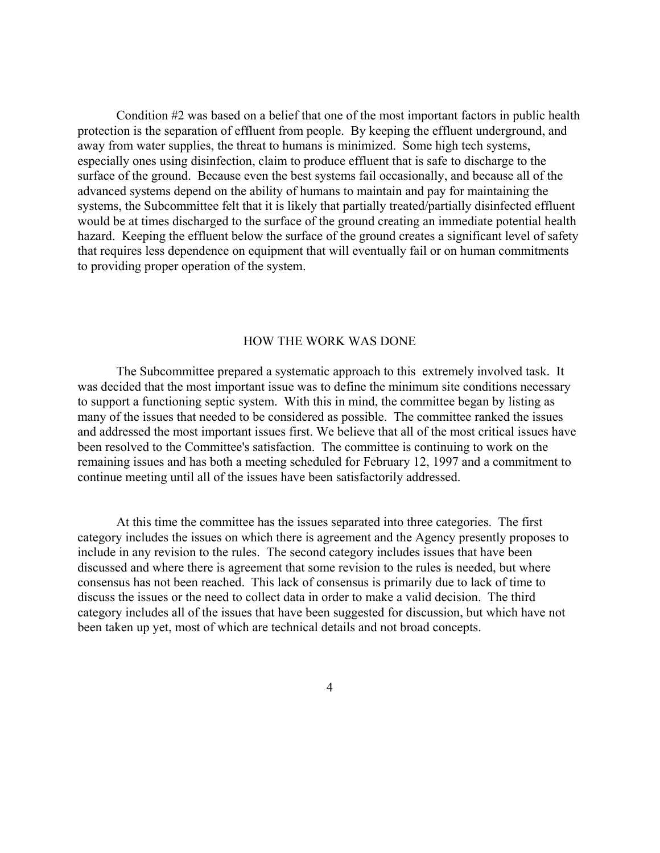Condition #2 was based on a belief that one of the most important factors in public health protection is the separation of effluent from people. By keeping the effluent underground, and away from water supplies, the threat to humans is minimized. Some high tech systems, especially ones using disinfection, claim to produce effluent that is safe to discharge to the surface of the ground. Because even the best systems fail occasionally, and because all of the advanced systems depend on the ability of humans to maintain and pay for maintaining the systems, the Subcommittee felt that it is likely that partially treated/partially disinfected effluent would be at times discharged to the surface of the ground creating an immediate potential health hazard. Keeping the effluent below the surface of the ground creates a significant level of safety that requires less dependence on equipment that will eventually fail or on human commitments to providing proper operation of the system.

#### HOW THE WORK WAS DONE

The Subcommittee prepared a systematic approach to this extremely involved task. It was decided that the most important issue was to define the minimum site conditions necessary to support a functioning septic system. With this in mind, the committee began by listing as many of the issues that needed to be considered as possible. The committee ranked the issues and addressed the most important issues first. We believe that all of the most critical issues have been resolved to the Committee's satisfaction. The committee is continuing to work on the remaining issues and has both a meeting scheduled for February 12, 1997 and a commitment to continue meeting until all of the issues have been satisfactorily addressed.

At this time the committee has the issues separated into three categories. The first category includes the issues on which there is agreement and the Agency presently proposes to include in any revision to the rules. The second category includes issues that have been discussed and where there is agreement that some revision to the rules is needed, but where consensus has not been reached. This lack of consensus is primarily due to lack of time to discuss the issues or the need to collect data in order to make a valid decision. The third category includes all of the issues that have been suggested for discussion, but which have not been taken up yet, most of which are technical details and not broad concepts.

4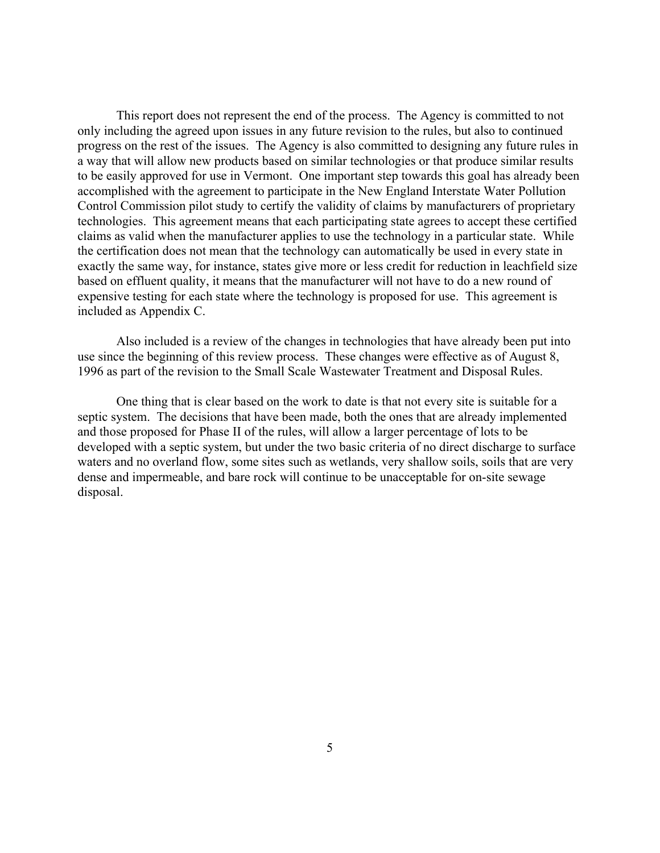This report does not represent the end of the process. The Agency is committed to not only including the agreed upon issues in any future revision to the rules, but also to continued progress on the rest of the issues. The Agency is also committed to designing any future rules in a way that will allow new products based on similar technologies or that produce similar results to be easily approved for use in Vermont. One important step towards this goal has already been accomplished with the agreement to participate in the New England Interstate Water Pollution Control Commission pilot study to certify the validity of claims by manufacturers of proprietary technologies. This agreement means that each participating state agrees to accept these certified claims as valid when the manufacturer applies to use the technology in a particular state. While the certification does not mean that the technology can automatically be used in every state in exactly the same way, for instance, states give more or less credit for reduction in leachfield size based on effluent quality, it means that the manufacturer will not have to do a new round of expensive testing for each state where the technology is proposed for use. This agreement is included as Appendix C.

Also included is a review of the changes in technologies that have already been put into use since the beginning of this review process. These changes were effective as of August 8, 1996 as part of the revision to the Small Scale Wastewater Treatment and Disposal Rules.

One thing that is clear based on the work to date is that not every site is suitable for a septic system. The decisions that have been made, both the ones that are already implemented and those proposed for Phase II of the rules, will allow a larger percentage of lots to be developed with a septic system, but under the two basic criteria of no direct discharge to surface waters and no overland flow, some sites such as wetlands, very shallow soils, soils that are very dense and impermeable, and bare rock will continue to be unacceptable for on-site sewage disposal.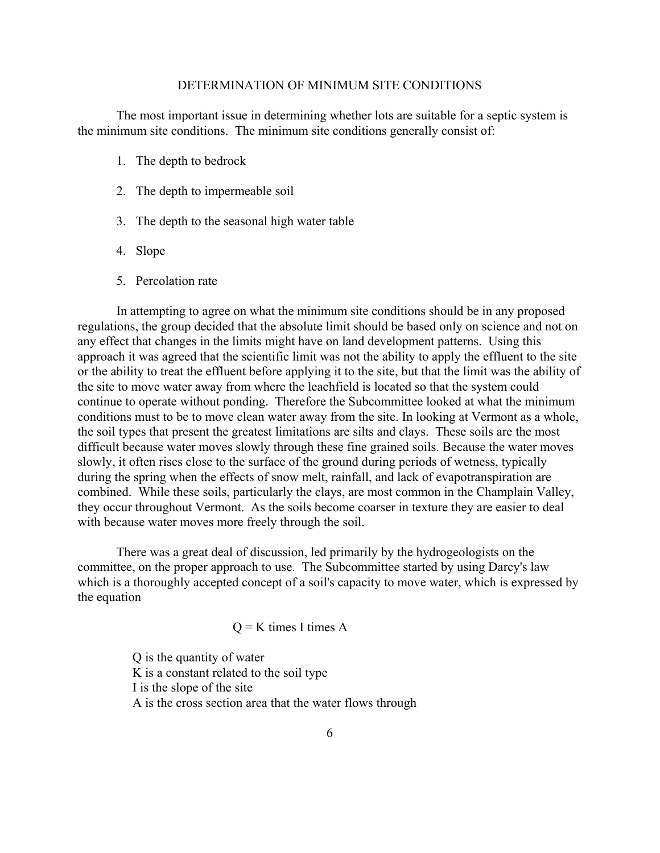#### DETERMINATION OF MINIMUM SITE CONDITIONS

The most important issue in determining whether lots are suitable for a septic system is the minimum site conditions. The minimum site conditions generally consist of:

- 1. The depth to bedrock
- 2. The depth to impermeable soil
- 3. The depth to the seasonal high water table
- 4. Slope
- 5. Percolation rate

In attempting to agree on what the minimum site conditions should be in any proposed regulations, the group decided that the absolute limit should be based only on science and not on any effect that changes in the limits might have on land development patterns. Using this approach it was agreed that the scientific limit was not the ability to apply the effluent to the site or the ability to treat the effluent before applying it to the site, but that the limit was the ability of the site to move water away from where the leachfield is located so that the system could continue to operate without ponding. Therefore the Subcommittee looked at what the minimum conditions must to be to move clean water away from the site. In looking at Vermont as a whole, the soil types that present the greatest limitations are silts and clays. These soils are the most difficult because water moves slowly through these fine grained soils. Because the water moves slowly, it often rises close to the surface of the ground during periods of wetness, typically during the spring when the effects of snow melt, rainfall, and lack of evapotranspiration are combined. While these soils, particularly the clays, are most common in the Champlain Valley, they occur throughout Vermont. As the soils become coarser in texture they are easier to deal with because water moves more freely through the soil.

There was a great deal of discussion, led primarily by the hydrogeologists on the committee, on the proper approach to use. The Subcommittee started by using Darcy's law which is a thoroughly accepted concept of a soil's capacity to move water, which is expressed by the equation

 $Q = K$  times I times A

 Q is the quantity of water K is a constant related to the soil type I is the slope of the site A is the cross section area that the water flows through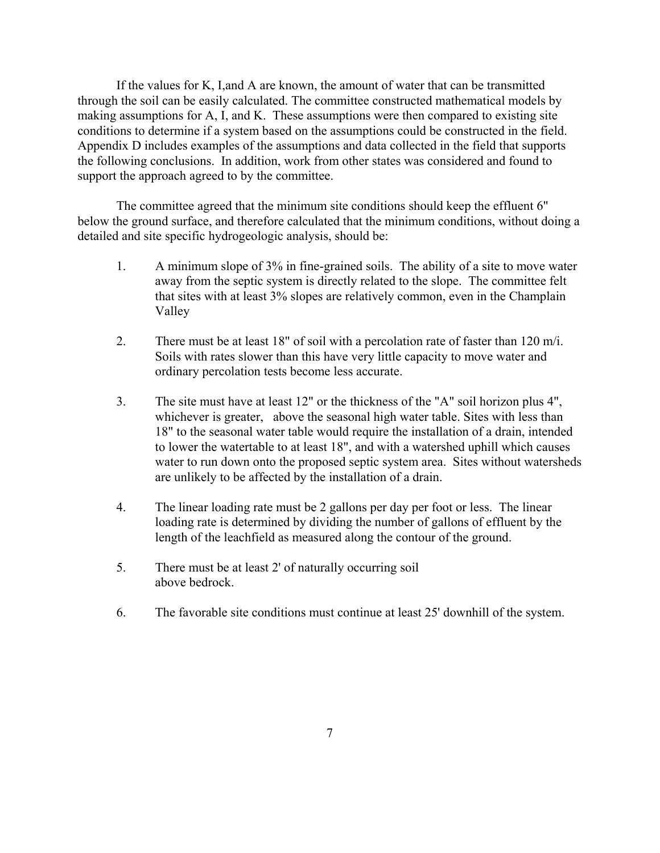If the values for K, I,and A are known, the amount of water that can be transmitted through the soil can be easily calculated. The committee constructed mathematical models by making assumptions for A, I, and K. These assumptions were then compared to existing site conditions to determine if a system based on the assumptions could be constructed in the field. Appendix D includes examples of the assumptions and data collected in the field that supports the following conclusions. In addition, work from other states was considered and found to support the approach agreed to by the committee.

The committee agreed that the minimum site conditions should keep the effluent 6" below the ground surface, and therefore calculated that the minimum conditions, without doing a detailed and site specific hydrogeologic analysis, should be:

- 1. A minimum slope of 3% in fine-grained soils. The ability of a site to move water away from the septic system is directly related to the slope. The committee felt that sites with at least 3% slopes are relatively common, even in the Champlain Valley
- 2. There must be at least 18" of soil with a percolation rate of faster than 120 m/i. Soils with rates slower than this have very little capacity to move water and ordinary percolation tests become less accurate.
- 3. The site must have at least 12" or the thickness of the "A" soil horizon plus 4", whichever is greater, above the seasonal high water table. Sites with less than 18" to the seasonal water table would require the installation of a drain, intended to lower the watertable to at least 18", and with a watershed uphill which causes water to run down onto the proposed septic system area. Sites without watersheds are unlikely to be affected by the installation of a drain.
- 4. The linear loading rate must be 2 gallons per day per foot or less. The linear loading rate is determined by dividing the number of gallons of effluent by the length of the leachfield as measured along the contour of the ground.
- 5. There must be at least 2' of naturally occurring soil above bedrock.
- 6. The favorable site conditions must continue at least 25' downhill of the system.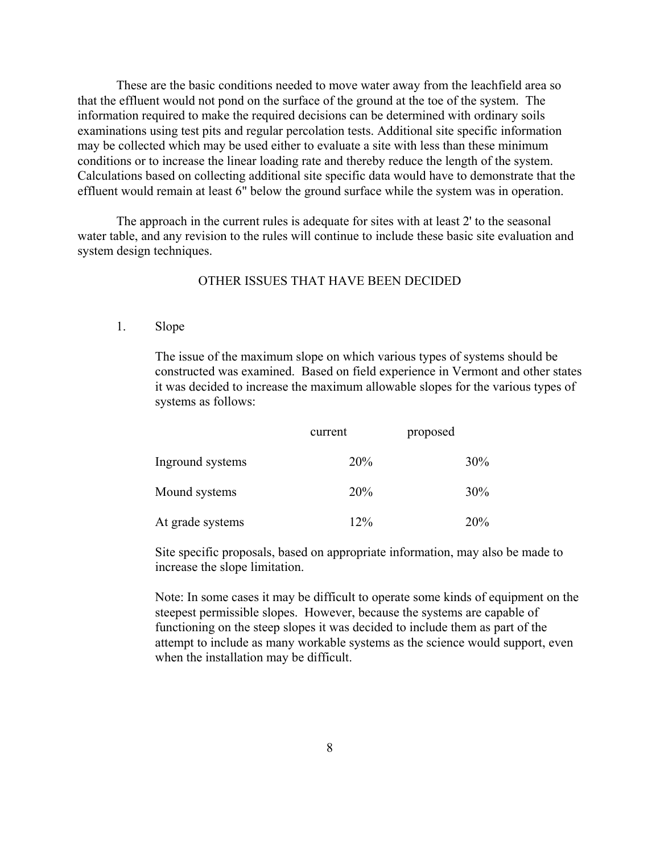These are the basic conditions needed to move water away from the leachfield area so that the effluent would not pond on the surface of the ground at the toe of the system. The information required to make the required decisions can be determined with ordinary soils examinations using test pits and regular percolation tests. Additional site specific information may be collected which may be used either to evaluate a site with less than these minimum conditions or to increase the linear loading rate and thereby reduce the length of the system. Calculations based on collecting additional site specific data would have to demonstrate that the effluent would remain at least 6" below the ground surface while the system was in operation.

The approach in the current rules is adequate for sites with at least 2' to the seasonal water table, and any revision to the rules will continue to include these basic site evaluation and system design techniques.

## OTHER ISSUES THAT HAVE BEEN DECIDED

1. Slope

The issue of the maximum slope on which various types of systems should be constructed was examined. Based on field experience in Vermont and other states it was decided to increase the maximum allowable slopes for the various types of systems as follows:

|                  | current | proposed |  |
|------------------|---------|----------|--|
| Inground systems | 20%     | 30%      |  |
| Mound systems    | 20%     | 30%      |  |
| At grade systems | 12%     | 20%      |  |

Site specific proposals, based on appropriate information, may also be made to increase the slope limitation.

Note: In some cases it may be difficult to operate some kinds of equipment on the steepest permissible slopes. However, because the systems are capable of functioning on the steep slopes it was decided to include them as part of the attempt to include as many workable systems as the science would support, even when the installation may be difficult.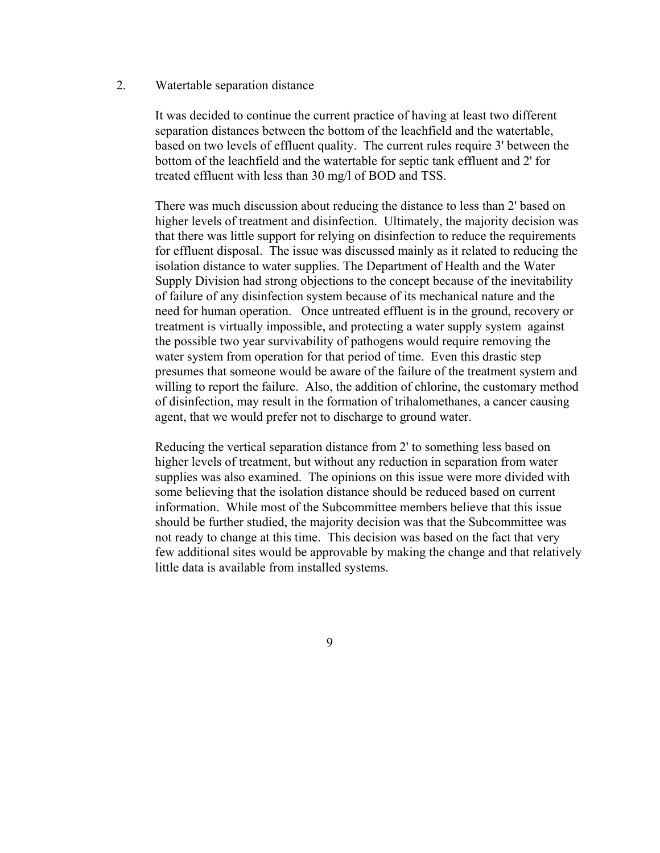2. Watertable separation distance

It was decided to continue the current practice of having at least two different separation distances between the bottom of the leachfield and the watertable, based on two levels of effluent quality. The current rules require 3' between the bottom of the leachfield and the watertable for septic tank effluent and 2' for treated effluent with less than 30 mg/l of BOD and TSS.

There was much discussion about reducing the distance to less than 2' based on higher levels of treatment and disinfection. Ultimately, the majority decision was that there was little support for relying on disinfection to reduce the requirements for effluent disposal. The issue was discussed mainly as it related to reducing the isolation distance to water supplies. The Department of Health and the Water Supply Division had strong objections to the concept because of the inevitability of failure of any disinfection system because of its mechanical nature and the need for human operation. Once untreated effluent is in the ground, recovery or treatment is virtually impossible, and protecting a water supply system against the possible two year survivability of pathogens would require removing the water system from operation for that period of time. Even this drastic step presumes that someone would be aware of the failure of the treatment system and willing to report the failure. Also, the addition of chlorine, the customary method of disinfection, may result in the formation of trihalomethanes, a cancer causing agent, that we would prefer not to discharge to ground water.

Reducing the vertical separation distance from 2' to something less based on higher levels of treatment, but without any reduction in separation from water supplies was also examined. The opinions on this issue were more divided with some believing that the isolation distance should be reduced based on current information. While most of the Subcommittee members believe that this issue should be further studied, the majority decision was that the Subcommittee was not ready to change at this time. This decision was based on the fact that very few additional sites would be approvable by making the change and that relatively little data is available from installed systems.

9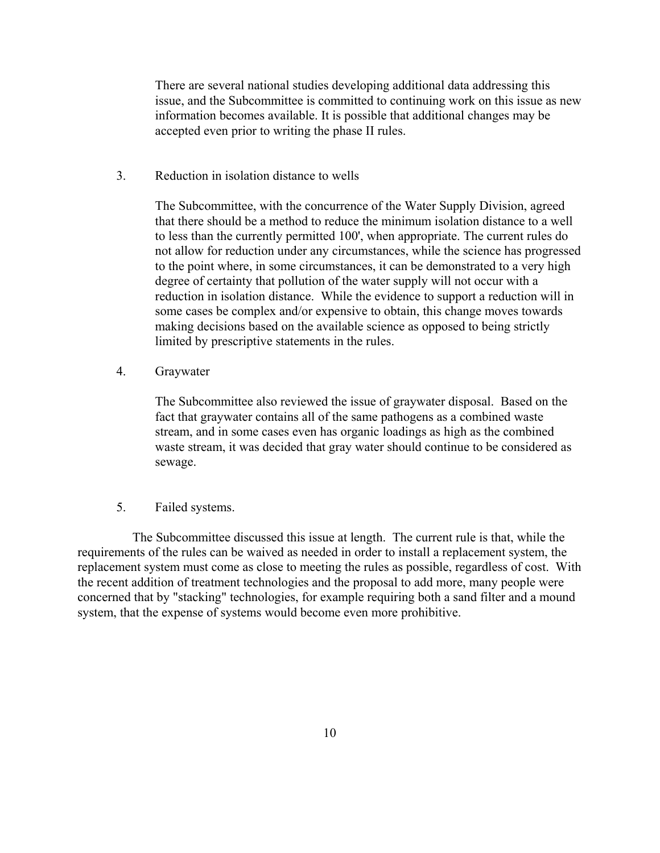There are several national studies developing additional data addressing this issue, and the Subcommittee is committed to continuing work on this issue as new information becomes available. It is possible that additional changes may be accepted even prior to writing the phase II rules.

3. Reduction in isolation distance to wells

The Subcommittee, with the concurrence of the Water Supply Division, agreed that there should be a method to reduce the minimum isolation distance to a well to less than the currently permitted 100', when appropriate. The current rules do not allow for reduction under any circumstances, while the science has progressed to the point where, in some circumstances, it can be demonstrated to a very high degree of certainty that pollution of the water supply will not occur with a reduction in isolation distance. While the evidence to support a reduction will in some cases be complex and/or expensive to obtain, this change moves towards making decisions based on the available science as opposed to being strictly limited by prescriptive statements in the rules.

4. Graywater

The Subcommittee also reviewed the issue of graywater disposal. Based on the fact that graywater contains all of the same pathogens as a combined waste stream, and in some cases even has organic loadings as high as the combined waste stream, it was decided that gray water should continue to be considered as sewage.

### 5. Failed systems.

 The Subcommittee discussed this issue at length. The current rule is that, while the requirements of the rules can be waived as needed in order to install a replacement system, the replacement system must come as close to meeting the rules as possible, regardless of cost. With the recent addition of treatment technologies and the proposal to add more, many people were concerned that by "stacking" technologies, for example requiring both a sand filter and a mound system, that the expense of systems would become even more prohibitive.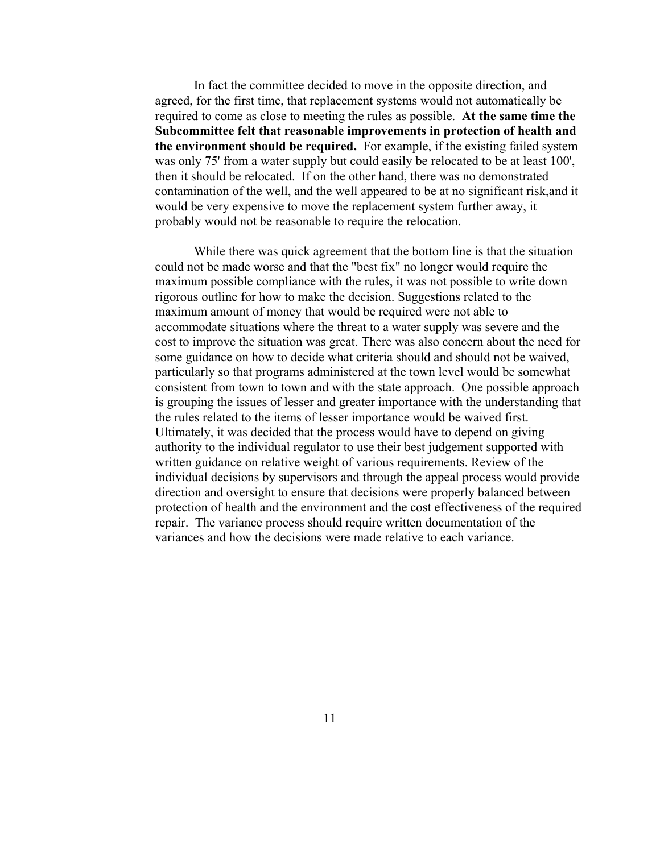In fact the committee decided to move in the opposite direction, and agreed, for the first time, that replacement systems would not automatically be required to come as close to meeting the rules as possible. **At the same time the Subcommittee felt that reasonable improvements in protection of health and the environment should be required.** For example, if the existing failed system was only 75' from a water supply but could easily be relocated to be at least 100', then it should be relocated. If on the other hand, there was no demonstrated contamination of the well, and the well appeared to be at no significant risk,and it would be very expensive to move the replacement system further away, it probably would not be reasonable to require the relocation.

While there was quick agreement that the bottom line is that the situation could not be made worse and that the "best fix" no longer would require the maximum possible compliance with the rules, it was not possible to write down rigorous outline for how to make the decision. Suggestions related to the maximum amount of money that would be required were not able to accommodate situations where the threat to a water supply was severe and the cost to improve the situation was great. There was also concern about the need for some guidance on how to decide what criteria should and should not be waived, particularly so that programs administered at the town level would be somewhat consistent from town to town and with the state approach. One possible approach is grouping the issues of lesser and greater importance with the understanding that the rules related to the items of lesser importance would be waived first. Ultimately, it was decided that the process would have to depend on giving authority to the individual regulator to use their best judgement supported with written guidance on relative weight of various requirements. Review of the individual decisions by supervisors and through the appeal process would provide direction and oversight to ensure that decisions were properly balanced between protection of health and the environment and the cost effectiveness of the required repair. The variance process should require written documentation of the variances and how the decisions were made relative to each variance.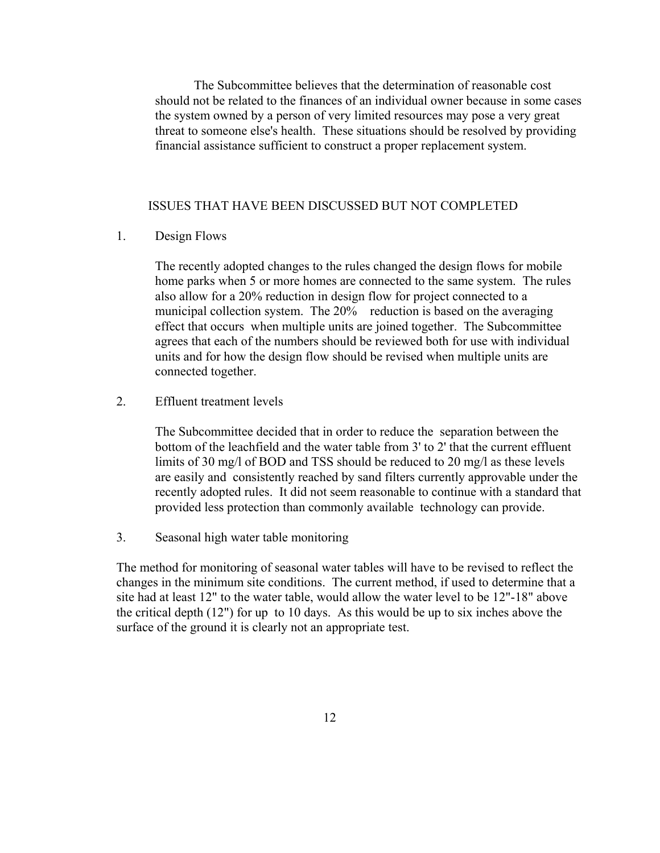The Subcommittee believes that the determination of reasonable cost should not be related to the finances of an individual owner because in some cases the system owned by a person of very limited resources may pose a very great threat to someone else's health. These situations should be resolved by providing financial assistance sufficient to construct a proper replacement system.

#### ISSUES THAT HAVE BEEN DISCUSSED BUT NOT COMPLETED

### 1. Design Flows

The recently adopted changes to the rules changed the design flows for mobile home parks when 5 or more homes are connected to the same system. The rules also allow for a 20% reduction in design flow for project connected to a municipal collection system. The 20% reduction is based on the averaging effect that occurs when multiple units are joined together. The Subcommittee agrees that each of the numbers should be reviewed both for use with individual units and for how the design flow should be revised when multiple units are connected together.

#### 2. Effluent treatment levels

The Subcommittee decided that in order to reduce the separation between the bottom of the leachfield and the water table from 3' to 2' that the current effluent limits of 30 mg/l of BOD and TSS should be reduced to 20 mg/l as these levels are easily and consistently reached by sand filters currently approvable under the recently adopted rules. It did not seem reasonable to continue with a standard that provided less protection than commonly available technology can provide.

3. Seasonal high water table monitoring

 The method for monitoring of seasonal water tables will have to be revised to reflect the changes in the minimum site conditions. The current method, if used to determine that a site had at least 12" to the water table, would allow the water level to be 12"-18" above the critical depth (12") for up to 10 days. As this would be up to six inches above the surface of the ground it is clearly not an appropriate test.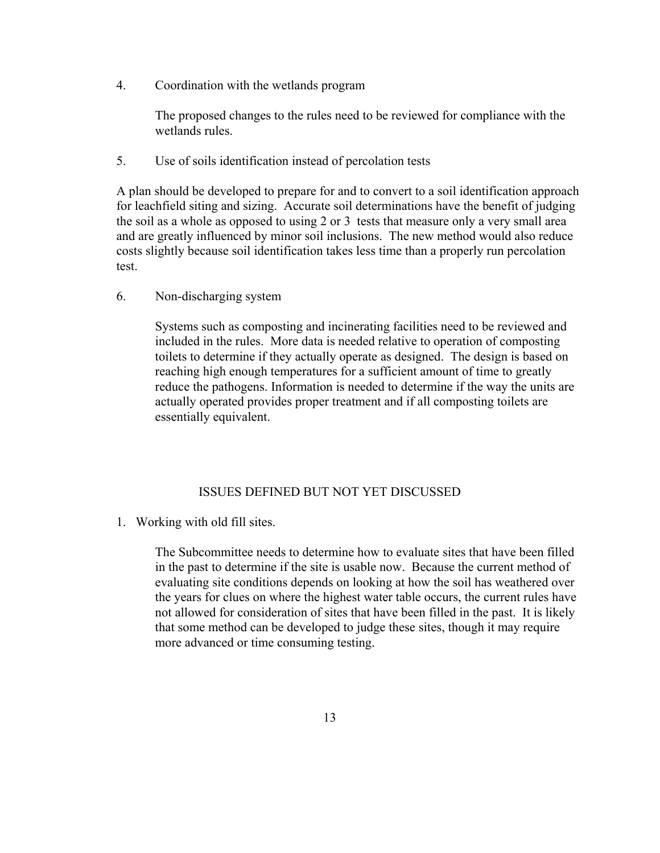4. Coordination with the wetlands program

The proposed changes to the rules need to be reviewed for compliance with the wetlands rules.

5. Use of soils identification instead of percolation tests

 A plan should be developed to prepare for and to convert to a soil identification approach for leachfield siting and sizing. Accurate soil determinations have the benefit of judging the soil as a whole as opposed to using 2 or 3 tests that measure only a very small area and are greatly influenced by minor soil inclusions. The new method would also reduce costs slightly because soil identification takes less time than a properly run percolation test.

6. Non-discharging system

Systems such as composting and incinerating facilities need to be reviewed and included in the rules. More data is needed relative to operation of composting toilets to determine if they actually operate as designed. The design is based on reaching high enough temperatures for a sufficient amount of time to greatly reduce the pathogens. Information is needed to determine if the way the units are actually operated provides proper treatment and if all composting toilets are essentially equivalent.

## ISSUES DEFINED BUT NOT YET DISCUSSED

1. Working with old fill sites.

The Subcommittee needs to determine how to evaluate sites that have been filled in the past to determine if the site is usable now. Because the current method of evaluating site conditions depends on looking at how the soil has weathered over the years for clues on where the highest water table occurs, the current rules have not allowed for consideration of sites that have been filled in the past. It is likely that some method can be developed to judge these sites, though it may require more advanced or time consuming testing.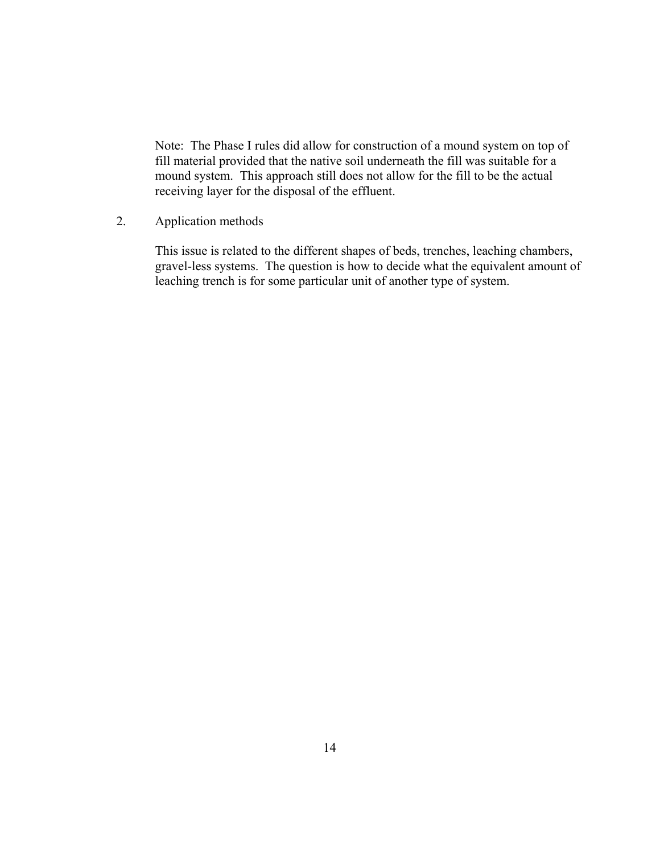Note: The Phase I rules did allow for construction of a mound system on top of fill material provided that the native soil underneath the fill was suitable for a mound system. This approach still does not allow for the fill to be the actual receiving layer for the disposal of the effluent.

2. Application methods

This issue is related to the different shapes of beds, trenches, leaching chambers, gravel-less systems. The question is how to decide what the equivalent amount of leaching trench is for some particular unit of another type of system.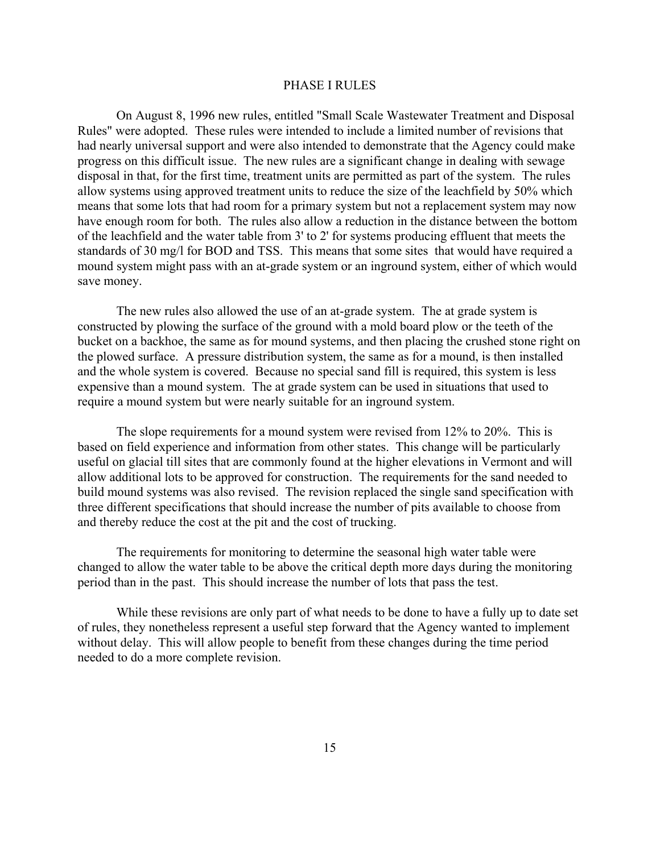### PHASE I RULES

On August 8, 1996 new rules, entitled "Small Scale Wastewater Treatment and Disposal Rules" were adopted. These rules were intended to include a limited number of revisions that had nearly universal support and were also intended to demonstrate that the Agency could make progress on this difficult issue. The new rules are a significant change in dealing with sewage disposal in that, for the first time, treatment units are permitted as part of the system. The rules allow systems using approved treatment units to reduce the size of the leachfield by 50% which means that some lots that had room for a primary system but not a replacement system may now have enough room for both. The rules also allow a reduction in the distance between the bottom of the leachfield and the water table from 3' to 2' for systems producing effluent that meets the standards of 30 mg/l for BOD and TSS. This means that some sites that would have required a mound system might pass with an at-grade system or an inground system, either of which would save money.

The new rules also allowed the use of an at-grade system. The at grade system is constructed by plowing the surface of the ground with a mold board plow or the teeth of the bucket on a backhoe, the same as for mound systems, and then placing the crushed stone right on the plowed surface. A pressure distribution system, the same as for a mound, is then installed and the whole system is covered. Because no special sand fill is required, this system is less expensive than a mound system. The at grade system can be used in situations that used to require a mound system but were nearly suitable for an inground system.

 The slope requirements for a mound system were revised from 12% to 20%. This is based on field experience and information from other states. This change will be particularly useful on glacial till sites that are commonly found at the higher elevations in Vermont and will allow additional lots to be approved for construction. The requirements for the sand needed to build mound systems was also revised. The revision replaced the single sand specification with three different specifications that should increase the number of pits available to choose from and thereby reduce the cost at the pit and the cost of trucking.

The requirements for monitoring to determine the seasonal high water table were changed to allow the water table to be above the critical depth more days during the monitoring period than in the past. This should increase the number of lots that pass the test.

While these revisions are only part of what needs to be done to have a fully up to date set of rules, they nonetheless represent a useful step forward that the Agency wanted to implement without delay. This will allow people to benefit from these changes during the time period needed to do a more complete revision.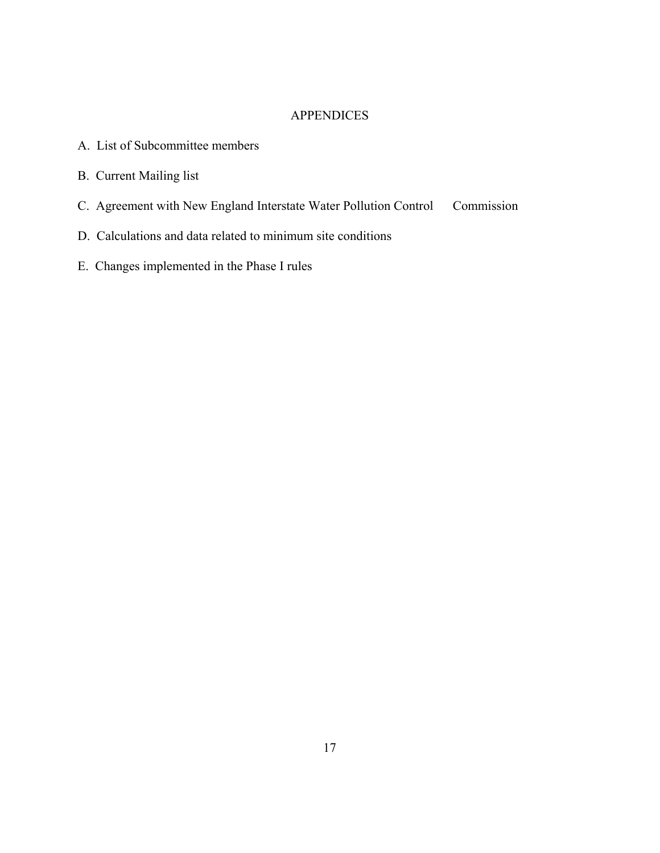## **APPENDICES**

- A. List of Subcommittee members
- B. Current Mailing list
- C. Agreement with New England Interstate Water Pollution Control Commission
- D. Calculations and data related to minimum site conditions
- E. Changes implemented in the Phase I rules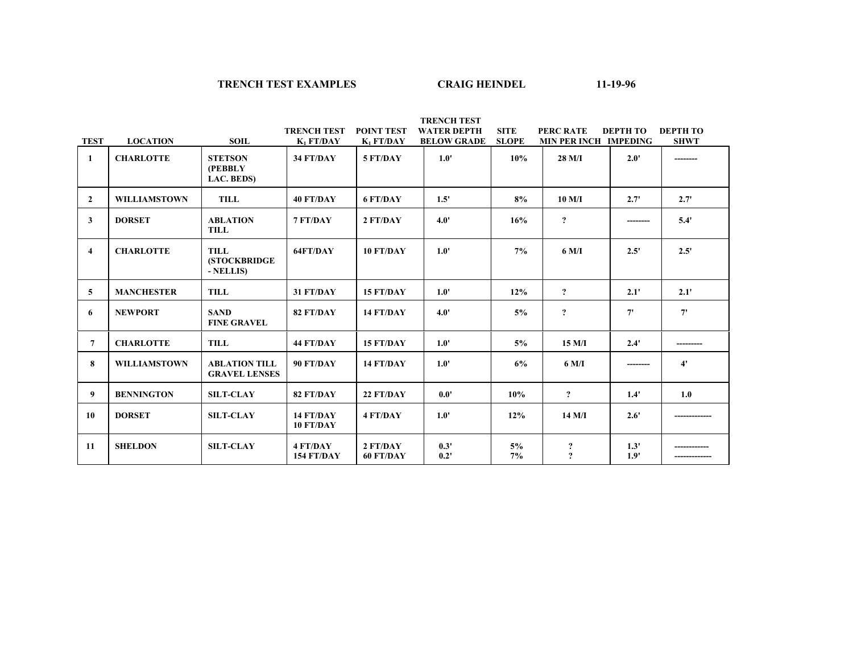#### **TRENCH TEST EXAMPLES CRAIG HEINDEL**

 $11-19-96$ 

|                |                     |                                                  | <b>TRENCH TEST</b>     | <b>POINT TEST</b>     | <b>WATER DEPTH</b> | <b>SITE</b>  | <b>PERC RATE</b>                         | <b>DEPTH TO</b> | <b>DEPTH TO</b> |
|----------------|---------------------|--------------------------------------------------|------------------------|-----------------------|--------------------|--------------|------------------------------------------|-----------------|-----------------|
| <b>TEST</b>    | <b>LOCATION</b>     | <b>SOIL</b>                                      | $K_1$ FT/DAY           | $K_1$ FT/DAY          | <b>BELOW GRADE</b> | <b>SLOPE</b> | MIN PER INCH IMPEDING                    |                 | <b>SHWT</b>     |
| 1              | <b>CHARLOTTE</b>    | <b>STETSON</b><br>(PEBBLY<br>LAC. BEDS)          | 34 FT/DAY              | 5 FT/DAY              | 1.0'               | 10%          | 28 M/I                                   | 2.0'            |                 |
| $\overline{2}$ | <b>WILLIAMSTOWN</b> | TILL                                             | 40 FT/DAY              | <b>6 FT/DAY</b>       | 1.5'               | 8%           | $10$ M/I                                 | 2.7'            | 2.7'            |
| $\mathbf{3}$   | <b>DORSET</b>       | <b>ABLATION</b><br><b>TILL</b>                   | 7 FT/DAY               | 2 FT/DAY              | 4.0'               | 16%          | $\overline{?}$                           |                 | 5.4'            |
| $\overline{4}$ | <b>CHARLOTTE</b>    | <b>TILL</b><br><b>(STOCKBRIDGE)</b><br>- NELLIS) | 64FT/DAY               | 10 FT/DAY             | 1.0'               | 7%           | 6 M/I                                    | 2.5'            | 2.5'            |
| 5              | <b>MANCHESTER</b>   | <b>TILL</b>                                      | 31 FT/DAY              | 15 FT/DAY             | $1.0^{\circ}$      | 12%          | $\overline{?}$                           | 2.1'            | 2.1'            |
| 6              | <b>NEWPORT</b>      | <b>SAND</b><br><b>FINE GRAVEL</b>                | 82 FT/DAY              | 14 FT/DAY             | 4.0'               | 5%           | $\overline{?}$                           | 7'              | 7'              |
| $\overline{7}$ | <b>CHARLOTTE</b>    | <b>TILL</b>                                      | 44 FT/DAY              | 15 FT/DAY             | 1.0'               | 5%           | $15$ M/I                                 | 2.4'            | --------        |
| 8              | <b>WILLIAMSTOWN</b> | <b>ABLATION TILL</b><br><b>GRAVEL LENSES</b>     | 90 FT/DAY              | 14 FT/DAY             | 1.0'               | 6%           | 6 M/I                                    | -------         | $4^{\prime}$    |
| 9              | <b>BENNINGTON</b>   | <b>SILT-CLAY</b>                                 | 82 FT/DAY              | 22 FT/DAY             | $0.0^{\circ}$      | 10%          | $\overline{?}$                           | 1.4'            | 1.0             |
| 10             | <b>DORSET</b>       | <b>SILT-CLAY</b>                                 | 14 FT/DAY<br>10 FT/DAY | 4 FT/DAY              | 1.0'               | 12%          | $14$ M/I                                 | 2.6'            |                 |
| 11             | <b>SHELDON</b>      | <b>SILT-CLAY</b>                                 | 4 FT/DAY<br>154 FT/DAY | 2 FT/DAY<br>60 FT/DAY | 0.3'<br>0.2'       | 5%<br>7%     | $\boldsymbol{\mathcal{P}}$<br>$\ddot{ }$ | 1.3'<br>1.9'    |                 |

 **TRENCH TEST**